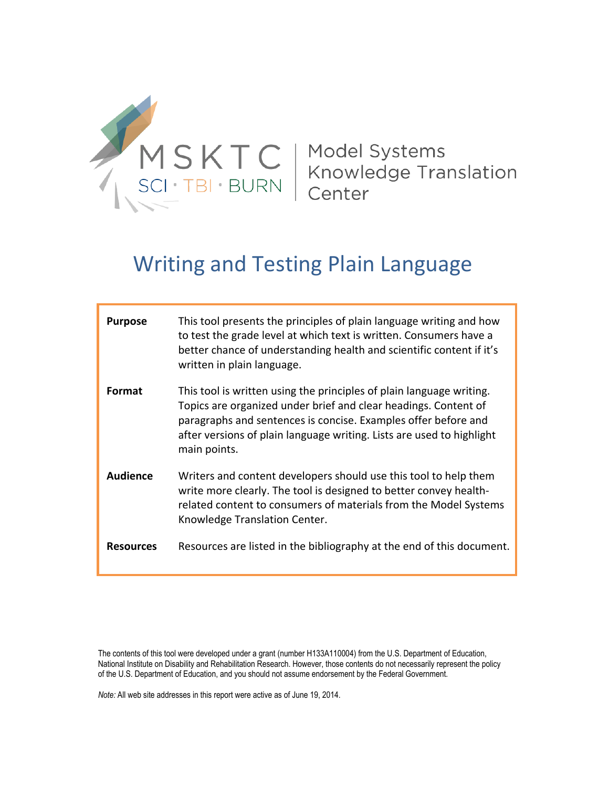

| <b>Purpose</b>   | This tool presents the principles of plain language writing and how<br>to test the grade level at which text is written. Consumers have a<br>better chance of understanding health and scientific content if it's<br>written in plain language.                                                    |
|------------------|----------------------------------------------------------------------------------------------------------------------------------------------------------------------------------------------------------------------------------------------------------------------------------------------------|
| Format           | This tool is written using the principles of plain language writing.<br>Topics are organized under brief and clear headings. Content of<br>paragraphs and sentences is concise. Examples offer before and<br>after versions of plain language writing. Lists are used to highlight<br>main points. |
| <b>Audience</b>  | Writers and content developers should use this tool to help them<br>write more clearly. The tool is designed to better convey health-<br>related content to consumers of materials from the Model Systems<br>Knowledge Translation Center.                                                         |
| <b>Resources</b> | Resources are listed in the bibliography at the end of this document.                                                                                                                                                                                                                              |

The contents of this tool were developed under a grant (number H133A110004) from the U.S. Department of Education, National Institute on Disability and Rehabilitation Research. However, those contents do not necessarily represent the policy of the U.S. Department of Education, and you should not assume endorsement by the Federal Government.

*Note:* All web site addresses in this report were active as of June 19, 2014.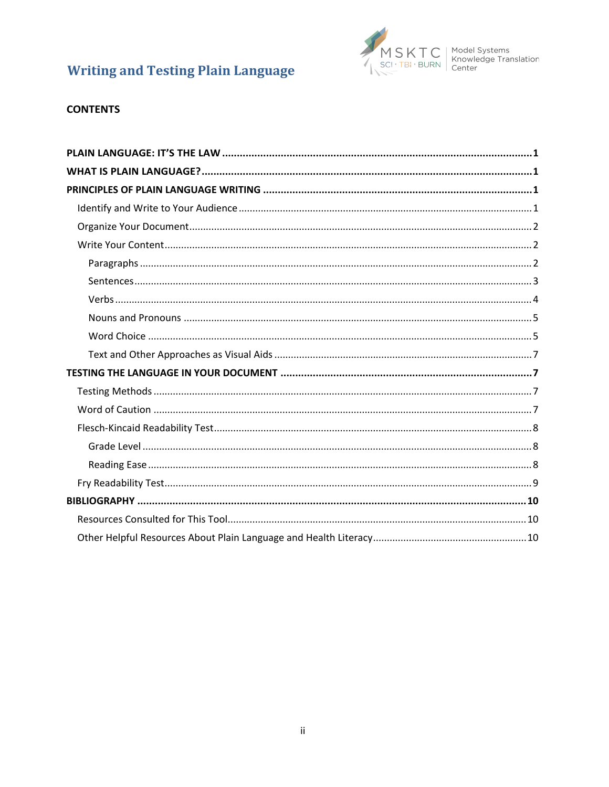

# **CONTENTS**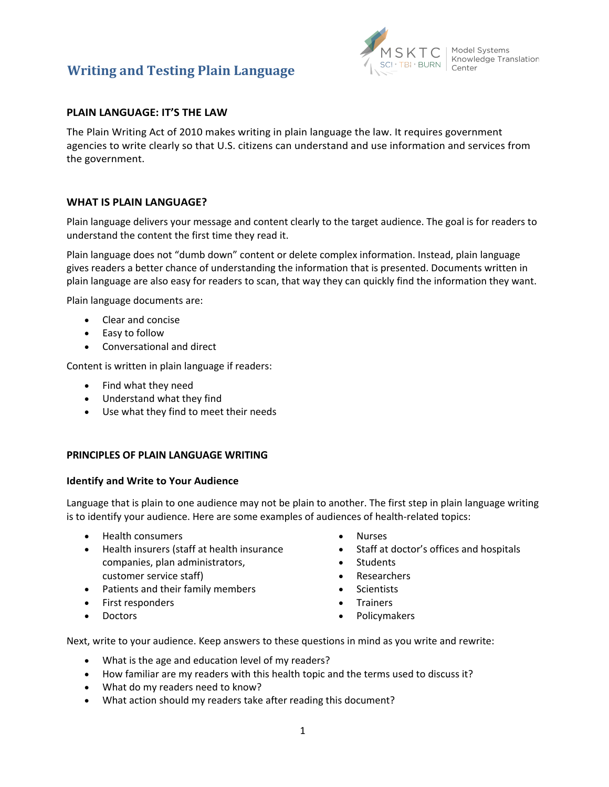

# <span id="page-2-0"></span>**PLAIN LANGUAGE: IT'S THE LAW**

The Plain Writing Act of 2010 makes writing in plain language the law. It requires government agencies to write clearly so that U.S. citizens can understand and use information and services from the government.

# <span id="page-2-1"></span>**WHAT IS PLAIN LANGUAGE?**

Plain language delivers your message and content clearly to the target audience. The goal is for readers to understand the content the first time they read it.

Plain language does not "dumb down" content or delete complex information. Instead, plain language gives readers a better chance of understanding the information that is presented. Documents written in plain language are also easy for readers to scan, that way they can quickly find the information they want.

Plain language documents are:

- Clear and concise
- Easy to follow
- Conversational and direct

Content is written in plain language if readers:

- Find what they need
- Understand what they find
- Use what they find to meet their needs

### <span id="page-2-2"></span>**PRINCIPLES OF PLAIN LANGUAGE WRITING**

#### <span id="page-2-3"></span>**Identify and Write to Your Audience**

Language that is plain to one audience may not be plain to another. The first step in plain language writing is to identify your audience. Here are some examples of audiences of health-related topics:

- Health consumers
- Health insurers (staff at health insurance companies, plan administrators, customer service staff)
- Patients and their family members
- First responders
- Doctors
- Nurses
- Staff at doctor's offices and hospitals
- Students
- Researchers
- Scientists
- Trainers
- Policymakers

Next, write to your audience. Keep answers to these questions in mind as you write and rewrite:

- What is the age and education level of my readers?
- How familiar are my readers with this health topic and the terms used to discuss it?
- What do my readers need to know?
- What action should my readers take after reading this document?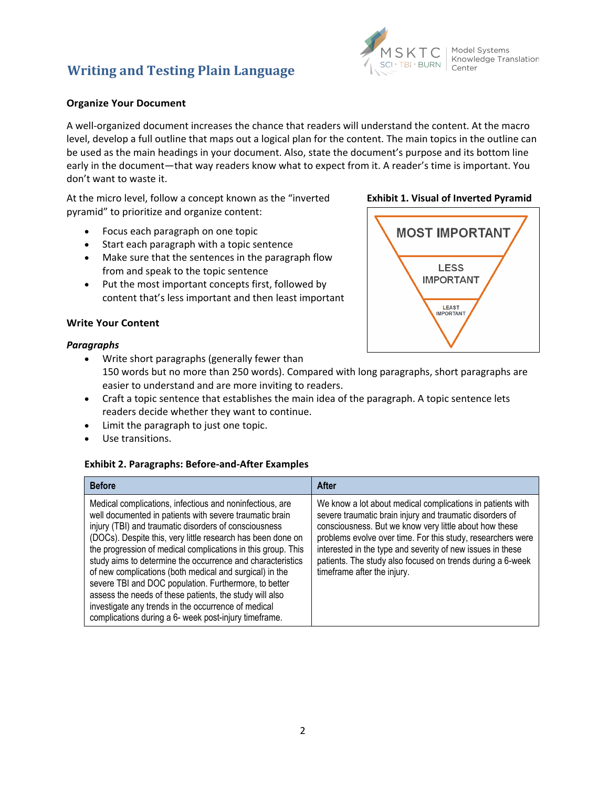

### <span id="page-3-0"></span>**Organize Your Document**

A well-organized document increases the chance that readers will understand the content. At the macro level, develop a full outline that maps out a logical plan for the content. The main topics in the outline can be used as the main headings in your document. Also, state the document's purpose and its bottom line early in the document—that way readers know what to expect from it. A reader's time is important. You don't want to waste it.

At the micro level, follow a concept known as the "inverted pyramid" to prioritize and organize content:

- Focus each paragraph on one topic
- Start each paragraph with a topic sentence
- Make sure that the sentences in the paragraph flow from and speak to the topic sentence
- Put the most important concepts first, followed by content that's less important and then least important

### <span id="page-3-1"></span>**Write Your Content**

#### <span id="page-3-2"></span>*Paragraphs*

• Write short paragraphs (generally fewer than

150 words but no more than 250 words). Compared with long paragraphs, short paragraphs are easier to understand and are more inviting to readers.

- Craft a topic sentence that establishes the main idea of the paragraph. A topic sentence lets readers decide whether they want to continue.
- Limit the paragraph to just one topic.
- Use transitions.

#### **Exhibit 2. Paragraphs: Before-and-After Examples**

| <b>Before</b>                                                                                                                                                                                                                                                                                                                                                                                                                                                                                                                                                                                                                                                            | After                                                                                                                                                                                                                                                                                                                                                                                                      |
|--------------------------------------------------------------------------------------------------------------------------------------------------------------------------------------------------------------------------------------------------------------------------------------------------------------------------------------------------------------------------------------------------------------------------------------------------------------------------------------------------------------------------------------------------------------------------------------------------------------------------------------------------------------------------|------------------------------------------------------------------------------------------------------------------------------------------------------------------------------------------------------------------------------------------------------------------------------------------------------------------------------------------------------------------------------------------------------------|
| Medical complications, infectious and noninfectious, are<br>well documented in patients with severe traumatic brain<br>injury (TBI) and traumatic disorders of consciousness<br>(DOCs). Despite this, very little research has been done on<br>the progression of medical complications in this group. This<br>study aims to determine the occurrence and characteristics<br>of new complications (both medical and surgical) in the<br>severe TBI and DOC population. Furthermore, to better<br>assess the needs of these patients, the study will also<br>investigate any trends in the occurrence of medical<br>complications during a 6- week post-injury timeframe. | We know a lot about medical complications in patients with<br>severe traumatic brain injury and traumatic disorders of<br>consciousness. But we know very little about how these<br>problems evolve over time. For this study, researchers were<br>interested in the type and severity of new issues in these<br>patients. The study also focused on trends during a 6-week<br>timeframe after the injury. |

### **Exhibit 1. Visual of Inverted Pyramid**

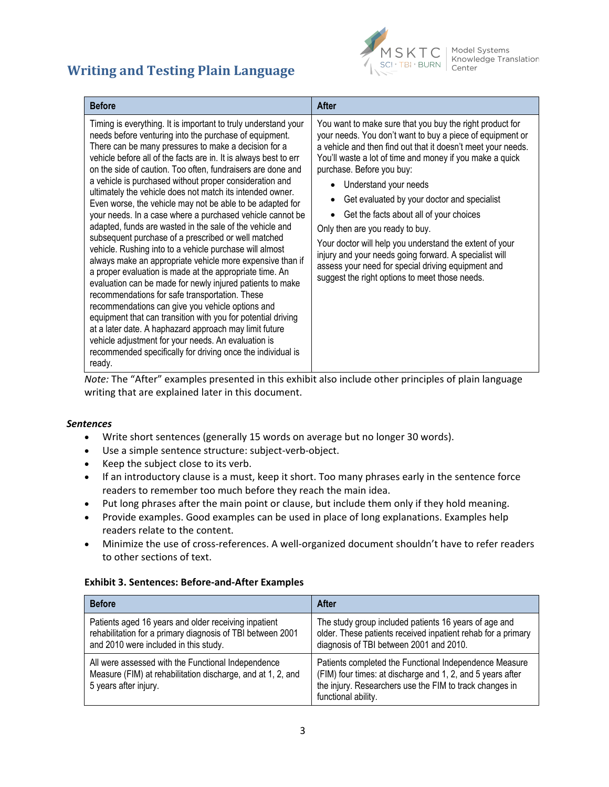

 $\mathcal{S}$   $\mathsf{KT}$   $\mathsf{C}$   $\vert$  Model Systems<br>  $\vert_{\mathsf{EBI} \cdot \mathsf{BURN}}$   $\vert_{\mathsf{Center}}$ 

| <b>Before</b>                                                                                                                                                                                                                                                                                                                                                                                                                                                                                                                                                                                                                                                                                                                                                                                                                                                                                                                                                                                                                                                                                                                                                                                                                                                                                            | After                                                                                                                                                                                                                                                                                                                                                                                                                                                                                                                                                                                                                                                             |
|----------------------------------------------------------------------------------------------------------------------------------------------------------------------------------------------------------------------------------------------------------------------------------------------------------------------------------------------------------------------------------------------------------------------------------------------------------------------------------------------------------------------------------------------------------------------------------------------------------------------------------------------------------------------------------------------------------------------------------------------------------------------------------------------------------------------------------------------------------------------------------------------------------------------------------------------------------------------------------------------------------------------------------------------------------------------------------------------------------------------------------------------------------------------------------------------------------------------------------------------------------------------------------------------------------|-------------------------------------------------------------------------------------------------------------------------------------------------------------------------------------------------------------------------------------------------------------------------------------------------------------------------------------------------------------------------------------------------------------------------------------------------------------------------------------------------------------------------------------------------------------------------------------------------------------------------------------------------------------------|
| Timing is everything. It is important to truly understand your<br>needs before venturing into the purchase of equipment.<br>There can be many pressures to make a decision for a<br>vehicle before all of the facts are in. It is always best to err<br>on the side of caution. Too often, fundraisers are done and<br>a vehicle is purchased without proper consideration and<br>ultimately the vehicle does not match its intended owner.<br>Even worse, the vehicle may not be able to be adapted for<br>your needs. In a case where a purchased vehicle cannot be<br>adapted, funds are wasted in the sale of the vehicle and<br>subsequent purchase of a prescribed or well matched<br>vehicle. Rushing into to a vehicle purchase will almost<br>always make an appropriate vehicle more expensive than if<br>a proper evaluation is made at the appropriate time. An<br>evaluation can be made for newly injured patients to make<br>recommendations for safe transportation. These<br>recommendations can give you vehicle options and<br>equipment that can transition with you for potential driving<br>at a later date. A haphazard approach may limit future<br>vehicle adjustment for your needs. An evaluation is<br>recommended specifically for driving once the individual is<br>ready. | You want to make sure that you buy the right product for<br>your needs. You don't want to buy a piece of equipment or<br>a vehicle and then find out that it doesn't meet your needs.<br>You'll waste a lot of time and money if you make a quick<br>purchase. Before you buy:<br>Understand your needs<br>Get evaluated by your doctor and specialist<br>Get the facts about all of your choices<br>Only then are you ready to buy.<br>Your doctor will help you understand the extent of your<br>injury and your needs going forward. A specialist will<br>assess your need for special driving equipment and<br>suggest the right options to meet those needs. |

*Note:* The "After" examples presented in this exhibit also include other principles of plain language writing that are explained later in this document.

#### <span id="page-4-0"></span>*Sentences*

- Write short sentences (generally 15 words on average but no longer 30 words).
- Use a simple sentence structure: subject-verb-object.
- Keep the subject close to its verb.
- If an introductory clause is a must, keep it short. Too many phrases early in the sentence force readers to remember too much before they reach the main idea.
- Put long phrases after the main point or clause, but include them only if they hold meaning.
- Provide examples. Good examples can be used in place of long explanations. Examples help readers relate to the content.
- Minimize the use of cross-references. A well-organized document shouldn't have to refer readers to other sections of text.

#### **Exhibit 3. Sentences: Before-and-After Examples**

| <b>Before</b>                                                                                                                                               | After                                                                                                                                                                                                  |
|-------------------------------------------------------------------------------------------------------------------------------------------------------------|--------------------------------------------------------------------------------------------------------------------------------------------------------------------------------------------------------|
| Patients aged 16 years and older receiving inpatient<br>rehabilitation for a primary diagnosis of TBI between 2001<br>and 2010 were included in this study. | The study group included patients 16 years of age and<br>older. These patients received inpatient rehab for a primary<br>diagnosis of TBI between 2001 and 2010.                                       |
| All were assessed with the Functional Independence<br>Measure (FIM) at rehabilitation discharge, and at 1, 2, and<br>5 years after injury.                  | Patients completed the Functional Independence Measure<br>(FIM) four times: at discharge and 1, 2, and 5 years after<br>the injury. Researchers use the FIM to track changes in<br>functional ability. |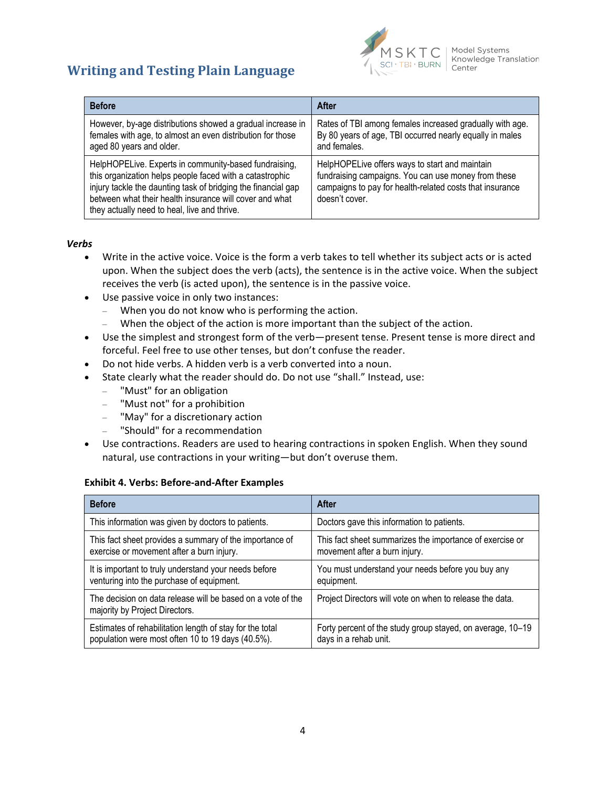



Model Systems Knowledge Translation  $C$ enter

| <b>Before</b>                                                                                                                                                                                                                                                                                 | After                                                                                                                                                                               |
|-----------------------------------------------------------------------------------------------------------------------------------------------------------------------------------------------------------------------------------------------------------------------------------------------|-------------------------------------------------------------------------------------------------------------------------------------------------------------------------------------|
| However, by-age distributions showed a gradual increase in<br>females with age, to almost an even distribution for those<br>aged 80 years and older.                                                                                                                                          | Rates of TBI among females increased gradually with age.<br>By 80 years of age, TBI occurred nearly equally in males<br>and females.                                                |
| HelpHOPELive. Experts in community-based fundraising,<br>this organization helps people faced with a catastrophic<br>injury tackle the daunting task of bridging the financial gap<br>between what their health insurance will cover and what<br>they actually need to heal, live and thrive. | HelpHOPELive offers ways to start and maintain<br>fundraising campaigns. You can use money from these<br>campaigns to pay for health-related costs that insurance<br>doesn't cover. |

#### <span id="page-5-0"></span>*Verbs*

- Write in the active voice. Voice is the form a verb takes to tell whether its subject acts or is acted upon. When the subject does the verb (acts), the sentence is in the active voice. When the subject receives the verb (is acted upon), the sentence is in the passive voice.
- Use passive voice in only two instances:
	- When you do not know who is performing the action.
	- When the object of the action is more important than the subject of the action.
- Use the simplest and strongest form of the verb—present tense. Present tense is more direct and forceful. Feel free to use other tenses, but don't confuse the reader.
- Do not hide verbs. A hidden verb is a verb converted into a noun.
- State clearly what the reader should do. Do not use "shall." Instead, use:
	- "Must" for an obligation
	- "Must not" for a prohibition
	- "May" for a discretionary action
	- "Should" for a recommendation
- Use contractions. Readers are used to hearing contractions in spoken English. When they sound natural, use contractions in your writing—but don't overuse them.

#### **Exhibit 4. Verbs: Before-and-After Examples**

| <b>Before</b>                                                                                 | <b>After</b>                                               |
|-----------------------------------------------------------------------------------------------|------------------------------------------------------------|
| This information was given by doctors to patients.                                            | Doctors gave this information to patients.                 |
| This fact sheet provides a summary of the importance of                                       | This fact sheet summarizes the importance of exercise or   |
| exercise or movement after a burn injury.                                                     | movement after a burn injury.                              |
| It is important to truly understand your needs before                                         | You must understand your needs before you buy any          |
| venturing into the purchase of equipment.                                                     | equipment.                                                 |
| The decision on data release will be based on a vote of the<br>majority by Project Directors. | Project Directors will vote on when to release the data.   |
| Estimates of rehabilitation length of stay for the total                                      | Forty percent of the study group stayed, on average, 10-19 |
| population were most often 10 to 19 days (40.5%).                                             | days in a rehab unit.                                      |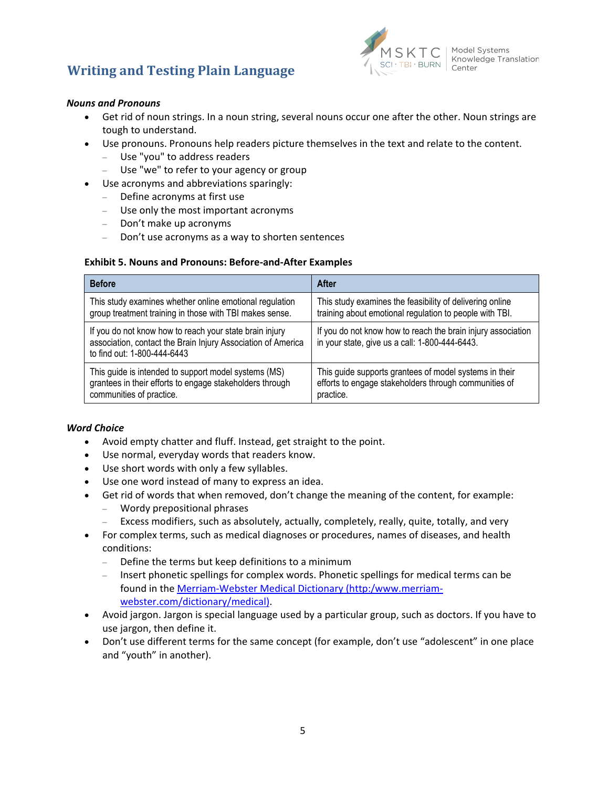

### <span id="page-6-0"></span>*Nouns and Pronouns*

- Get rid of noun strings. In a noun string, several nouns occur one after the other. Noun strings are tough to understand.
- Use pronouns. Pronouns help readers picture themselves in the text and relate to the content.
	- Use "you" to address readers
	- Use "we" to refer to your agency or group
- Use acronyms and abbreviations sparingly:
	- Define acronyms at first use
	- Use only the most important acronyms
	- Don't make up acronyms
	- Don't use acronyms as a way to shorten sentences

#### **Exhibit 5. Nouns and Pronouns: Before-and-After Examples**

| <b>Before</b>                                                                                                                                          | After                                                                                                          |
|--------------------------------------------------------------------------------------------------------------------------------------------------------|----------------------------------------------------------------------------------------------------------------|
| This study examines whether online emotional regulation                                                                                                | This study examines the feasibility of delivering online                                                       |
| group treatment training in those with TBI makes sense.                                                                                                | training about emotional regulation to people with TBI.                                                        |
| If you do not know how to reach your state brain injury<br>association, contact the Brain Injury Association of America<br>to find out: 1-800-444-6443 | If you do not know how to reach the brain injury association<br>in your state, give us a call: 1-800-444-6443. |
| This guide is intended to support model systems (MS)                                                                                                   | This guide supports grantees of model systems in their                                                         |
| grantees in their efforts to engage stakeholders through                                                                                               | efforts to engage stakeholders through communities of                                                          |
| communities of practice.                                                                                                                               | practice.                                                                                                      |

#### <span id="page-6-1"></span>*Word Choice*

- Avoid empty chatter and fluff. Instead, get straight to the point.
- Use normal, everyday words that readers know.
- Use short words with only a few syllables.
- Use one word instead of many to express an idea.
- Get rid of words that when removed, don't change the meaning of the content, for example:
	- Wordy prepositional phrases
	- Excess modifiers, such as absolutely, actually, completely, really, quite, totally, and very
- For complex terms, such as medical diagnoses or procedures, names of diseases, and health conditions:
	- Define the terms but keep definitions to a minimum
	- Insert phonetic spellings for complex words. Phonetic spellings for medical terms can be found in the [Merriam-Webster Medical Dictionary \(http:/www.merriam](http://www.merriam-webster.com/dictionary/medical)[webster.com/dictionary/medical\).](http://www.merriam-webster.com/dictionary/medical)
- Avoid jargon. Jargon is special language used by a particular group, such as doctors. If you have to use jargon, then define it.
- Don't use different terms for the same concept (for example, don't use "adolescent" in one place and "youth" in another).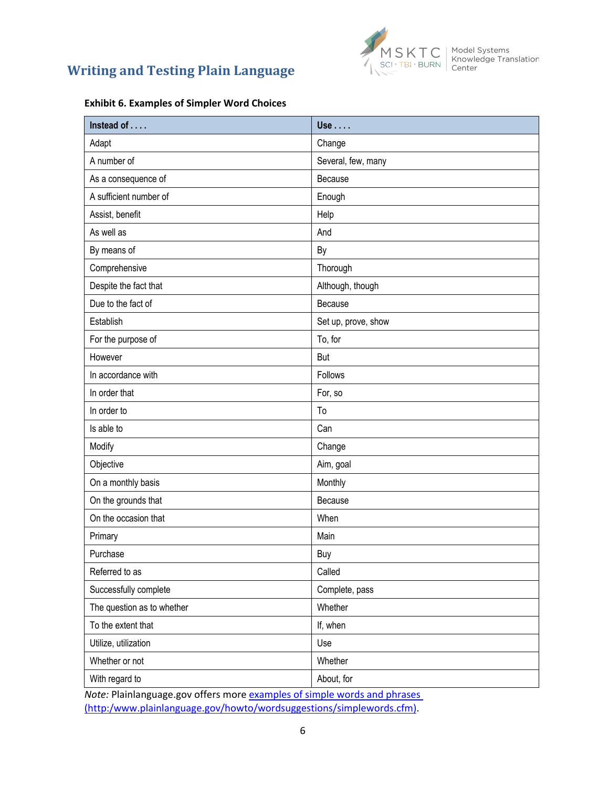



#### **Exhibit 6. Examples of Simpler Word Choices**

| Instead of                 | Use                 |
|----------------------------|---------------------|
| Adapt                      | Change              |
| A number of                | Several, few, many  |
| As a consequence of        | Because             |
| A sufficient number of     | Enough              |
| Assist, benefit            | Help                |
| As well as                 | And                 |
| By means of                | By                  |
| Comprehensive              | Thorough            |
| Despite the fact that      | Although, though    |
| Due to the fact of         | Because             |
| Establish                  | Set up, prove, show |
| For the purpose of         | To, for             |
| However                    | <b>But</b>          |
| In accordance with         | Follows             |
| In order that              | For, so             |
| In order to                | To                  |
| Is able to                 | Can                 |
| Modify                     | Change              |
| Objective                  | Aim, goal           |
| On a monthly basis         | Monthly             |
| On the grounds that        | Because             |
| On the occasion that       | When                |
| Primary                    | Main                |
| Purchase                   | Buy                 |
| Referred to as             | Called              |
| Successfully complete      | Complete, pass      |
| The question as to whether | Whether             |
| To the extent that         | If, when            |
| Utilize, utilization       | Use                 |
| Whether or not             | Whether             |
| With regard to             | About, for          |

*Note:* Plainlanguage.gov offers more [examples of simple words and phrases](http://www.plainlanguage.gov/howto/wordsuggestions/simplewords.cfm)  [\(http:/www.plainlanguage.gov/howto/wordsuggestions/simplewords.cfm\).](http://www.plainlanguage.gov/howto/wordsuggestions/simplewords.cfm)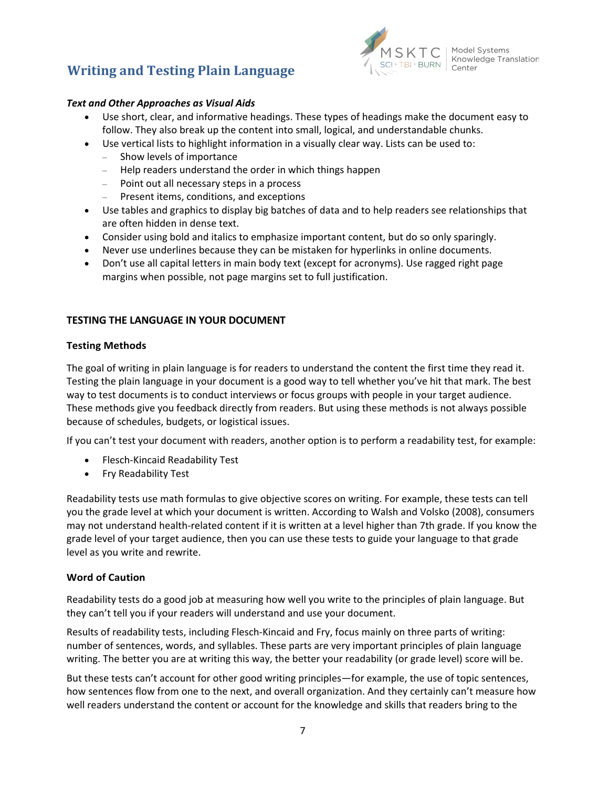

### <span id="page-8-0"></span>*Text and Other Approaches as Visual Aids*

- Use short, clear, and informative headings. These types of headings make the document easy to follow. They also break up the content into small, logical, and understandable chunks.
- Use vertical lists to highlight information in a visually clear way. Lists can be used to:
	- Show levels of importance
	- Help readers understand the order in which things happen
	- Point out all necessary steps in a process
	- Present items, conditions, and exceptions
- Use tables and graphics to display big batches of data and to help readers see relationships that are often hidden in dense text.
- Consider using bold and italics to emphasize important content, but do so only sparingly.
- Never use underlines because they can be mistaken for hyperlinks in online documents.
- Don't use all capital letters in main body text (except for acronyms). Use ragged right page margins when possible, not page margins set to full justification.

### <span id="page-8-1"></span>**TESTING THE LANGUAGE IN YOUR DOCUMENT**

#### <span id="page-8-2"></span>**Testing Methods**

The goal of writing in plain language is for readers to understand the content the first time they read it. Testing the plain language in your document is a good way to tell whether you've hit that mark. The best way to test documents is to conduct interviews or focus groups with people in your target audience. These methods give you feedback directly from readers. But using these methods is not always possible because of schedules, budgets, or logistical issues.

If you can't test your document with readers, another option is to perform a readability test, for example:

- Flesch-Kincaid Readability Test
- Fry Readability Test

Readability tests use math formulas to give objective scores on writing. For example, these tests can tell you the grade level at which your document is written. According to Walsh and Volsko (2008), consumers may not understand health-related content if it is written at a level higher than 7th grade. If you know the grade level of your target audience, then you can use these tests to guide your language to that grade level as you write and rewrite.

#### <span id="page-8-3"></span>**Word of Caution**

Readability tests do a good job at measuring how well you write to the principles of plain language. But they can't tell you if your readers will understand and use your document.

Results of readability tests, including Flesch-Kincaid and Fry, focus mainly on three parts of writing: number of sentences, words, and syllables. These parts are very important principles of plain language writing. The better you are at writing this way, the better your readability (or grade level) score will be.

But these tests can't account for other good writing principles—for example, the use of topic sentences, how sentences flow from one to the next, and overall organization. And they certainly can't measure how well readers understand the content or account for the knowledge and skills that readers bring to the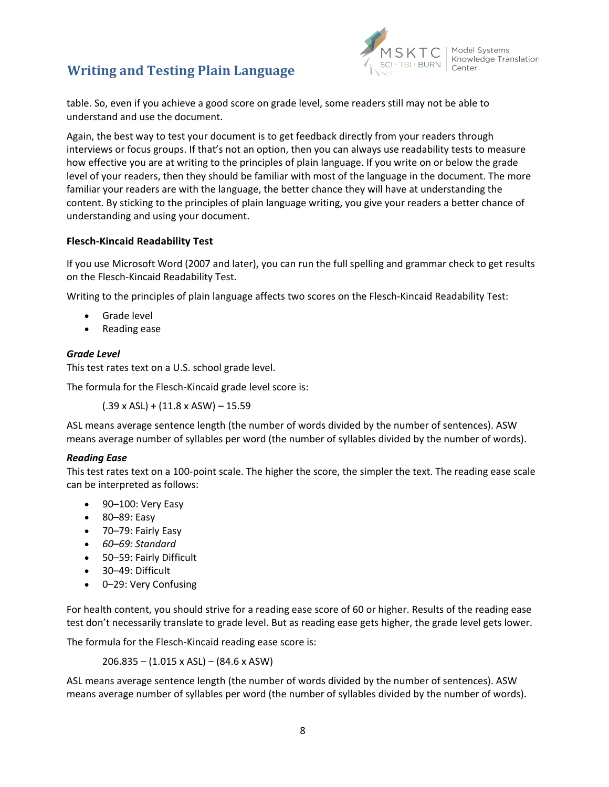

table. So, even if you achieve a good score on grade level, some readers still may not be able to understand and use the document.

Again, the best way to test your document is to get feedback directly from your readers through interviews or focus groups. If that's not an option, then you can always use readability tests to measure how effective you are at writing to the principles of plain language. If you write on or below the grade level of your readers, then they should be familiar with most of the language in the document. The more familiar your readers are with the language, the better chance they will have at understanding the content. By sticking to the principles of plain language writing, you give your readers a better chance of understanding and using your document.

# <span id="page-9-0"></span>**Flesch-Kincaid Readability Test**

If you use Microsoft Word (2007 and later), you can run the full spelling and grammar check to get results on the Flesch-Kincaid Readability Test.

Writing to the principles of plain language affects two scores on the Flesch-Kincaid Readability Test:

- Grade level
- Reading ease

# <span id="page-9-1"></span>*Grade Level*

This test rates text on a U.S. school grade level.

The formula for the Flesch-Kincaid grade level score is:

 $(.39 \times ASL) + (11.8 \times ASW) - 15.59$ 

ASL means average sentence length (the number of words divided by the number of sentences). ASW means average number of syllables per word (the number of syllables divided by the number of words).

# <span id="page-9-2"></span>*Reading Ease*

This test rates text on a 100-point scale. The higher the score, the simpler the text. The reading ease scale can be interpreted as follows:

- 90-100: Very Easy
- 80–89: Easy
- 70–79: Fairly Easy
- *60–69: Standard*
- 50–59: Fairly Difficult
- 30–49: Difficult
- 0-29: Very Confusing

For health content, you should strive for a reading ease score of 60 or higher. Results of the reading ease test don't necessarily translate to grade level. But as reading ease gets higher, the grade level gets lower.

The formula for the Flesch-Kincaid reading ease score is:

206.835 – (1.015 x ASL) – (84.6 x ASW)

ASL means average sentence length (the number of words divided by the number of sentences). ASW means average number of syllables per word (the number of syllables divided by the number of words).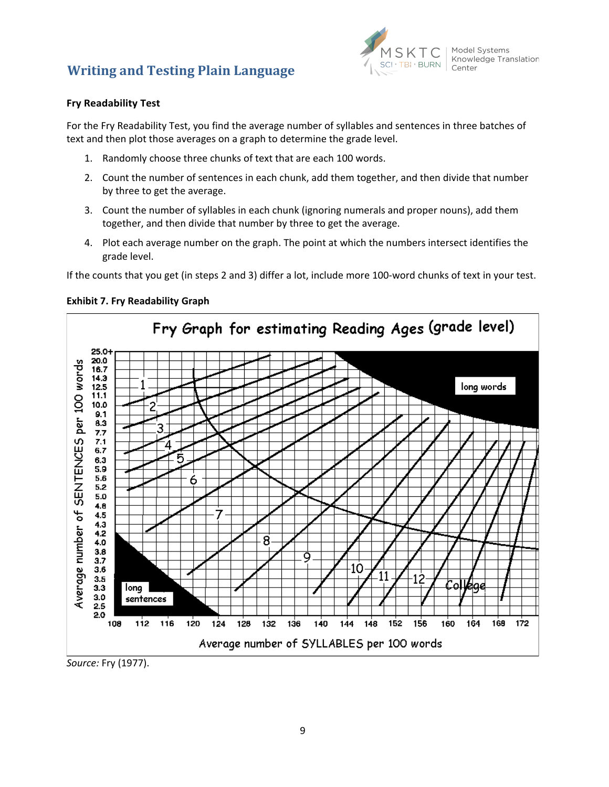

### <span id="page-10-0"></span>**Fry Readability Test**

For the Fry Readability Test, you find the average number of syllables and sentences in three batches of text and then plot those averages on a graph to determine the grade level.

- 1. Randomly choose three chunks of text that are each 100 words.
- 2. Count the number of sentences in each chunk, add them together, and then divide that number by three to get the average.
- 3. Count the number of syllables in each chunk (ignoring numerals and proper nouns), add them together, and then divide that number by three to get the average.
- 4. Plot each average number on the graph. The point at which the numbers intersect identifies the grade level.

If the counts that you get (in steps 2 and 3) differ a lot, include more 100-word chunks of text in your test.



#### **Exhibit 7. Fry Readability Graph**

*Source:* Fry (1977).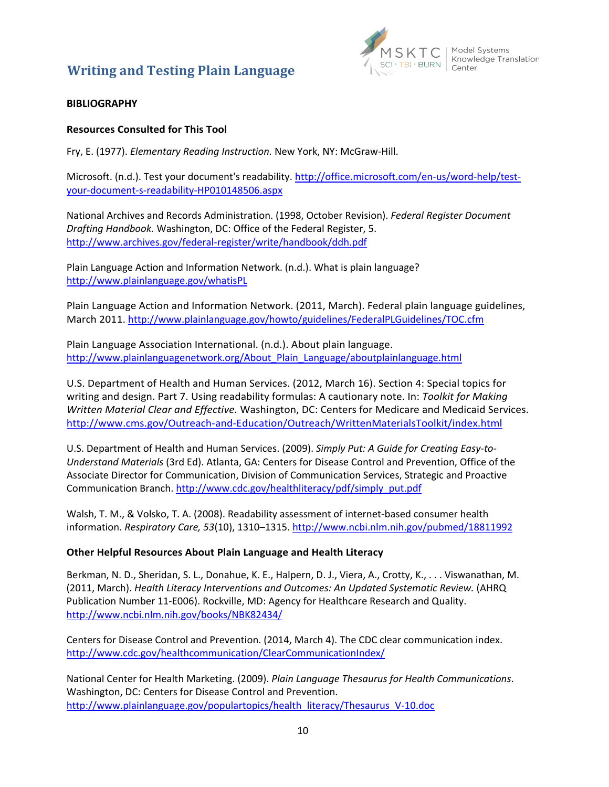

### <span id="page-11-0"></span>**BIBLIOGRAPHY**

### <span id="page-11-1"></span>**Resources Consulted for This Tool**

Fry, E. (1977). *Elementary Reading Instruction.* New York, NY: McGraw-Hill.

Microsoft. (n.d.). Test your document's readability[. http://office.microsoft.com/en-us/word-help/test](http://office.microsoft.com/en-us/word-help/test-your-document-s-readability-HP010148506.aspx)[your-document-s-readability-HP010148506.aspx](http://office.microsoft.com/en-us/word-help/test-your-document-s-readability-HP010148506.aspx)

National Archives and Records Administration. (1998, October Revision). *Federal Register Document Drafting Handbook.* Washington, DC: Office of the Federal Register, 5. [http://www.archives.gov/federal-register/write/handbook/ddh.pdf](http://www.archives.gov/federalregister/write/handbook/ddh.pdf)

Plain Language Action and Information Network. (n.d.). What is plain language? <http://www.plainlanguage.gov/whatisPL>

Plain Language Action and Information Network. (2011, March). Federal plain language guidelines, March 2011. <http://www.plainlanguage.gov/howto/guidelines/FederalPLGuidelines/TOC.cfm>

Plain Language Association International. (n.d.). About plain language. [http://www.plainlanguagenetwork.org/About\\_Plain\\_Language/aboutplainlanguage.html](http://www.plainlanguagenetwork.org/About_Plain_Language/aboutplainlanguage.html)

U.S. Department of Health and Human Services. (2012, March 16). Section 4: Special topics for writing and design. Part 7. Using readability formulas: A cautionary note. In: *Toolkit for Making Written Material Clear and Effective.* Washington, DC: Centers for Medicare and Medicaid Services. <http://www.cms.gov/Outreach-and-Education/Outreach/WrittenMaterialsToolkit/index.html>

U.S. Department of Health and Human Services. (2009). *Simply Put: A Guide for Creating Easy-to-Understand Materials* (3rd Ed). Atlanta, GA: Centers for Disease Control and Prevention, Office of the Associate Director for Communication, Division of Communication Services, Strategic and Proactive Communication Branch. [http://www.cdc.gov/healthliteracy/pdf/simply\\_put.pdf](http://www.cdc.gov/healthliteracy/pdf/simply_put.pdf)

Walsh, T. M., & Volsko, T. A. (2008). Readability assessment of internet-based consumer health information. *Respiratory Care, 53*(10), 1310–1315. <http://www.ncbi.nlm.nih.gov/pubmed/18811992>

### <span id="page-11-2"></span>**Other Helpful Resources About Plain Language and Health Literacy**

Berkman, N. D., Sheridan, S. L., Donahue, K. E., Halpern, D. J., Viera, A., Crotty, K., . . . Viswanathan, M. (2011, March). *Health Literacy Interventions and Outcomes: An Updated Systematic Review.* (AHRQ Publication Number 11-E006). Rockville, MD: Agency for Healthcare Research and Quality. <http://www.ncbi.nlm.nih.gov/books/NBK82434/>

Centers for Disease Control and Prevention. (2014, March 4). The CDC clear communication index. <http://www.cdc.gov/healthcommunication/ClearCommunicationIndex/>

National Center for Health Marketing. (2009). *Plain Language Thesaurus for Health Communications*. Washington, DC: Centers for Disease Control and Prevention. [http://www.plainlanguage.gov/populartopics/health\\_literacy/Thesaurus\\_V-10.doc](http://www.plainlanguage.gov/populartopics/health_literacy/Thesaurus_V-10.doc)